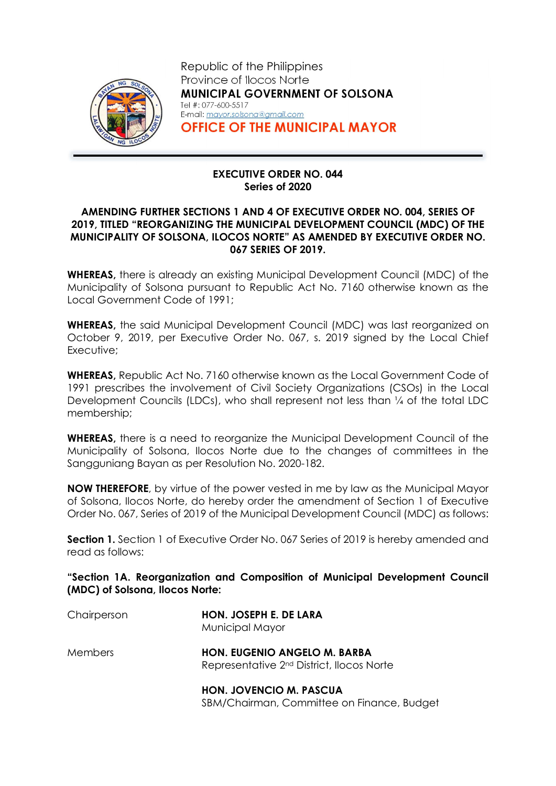

Republic of the Philippines Province of Ilocos Norte MUNICIPAL GOVERNMENT OF SOLSONA Tel #: 077-600-5517 E-mail: mayor.solsona@gmail.com OFFICE OF THE MUNICIPAL MAYOR

## EXECUTIVE ORDER NO. 044 Series of 2020

## AMENDING FURTHER SECTIONS 1 AND 4 OF EXECUTIVE ORDER NO. 004, SERIES OF 2019, TITLED "REORGANIZING THE MUNICIPAL DEVELOPMENT COUNCIL (MDC) OF THE MUNICIPALITY OF SOLSONA, ILOCOS NORTE" AS AMENDED BY EXECUTIVE ORDER NO. 067 SERIES OF 2019.

WHEREAS, there is already an existing Municipal Development Council (MDC) of the Municipality of Solsona pursuant to Republic Act No. 7160 otherwise known as the Local Government Code of 1991;

WHEREAS, the said Municipal Development Council (MDC) was last reorganized on October 9, 2019, per Executive Order No. 067, s. 2019 signed by the Local Chief Executive;

WHEREAS, Republic Act No. 7160 otherwise known as the Local Government Code of 1991 prescribes the involvement of Civil Society Organizations (CSOs) in the Local Development Councils (LDCs), who shall represent not less than ¼ of the total LDC membership;

WHEREAS, there is a need to reorganize the Municipal Development Council of the Municipality of Solsona, Ilocos Norte due to the changes of committees in the Sangguniang Bayan as per Resolution No. 2020-182.

NOW THEREFORE, by virtue of the power vested in me by law as the Municipal Mayor of Solsona, Ilocos Norte, do hereby order the amendment of Section 1 of Executive Order No. 067, Series of 2019 of the Municipal Development Council (MDC) as follows:

**Section 1.** Section 1 of Executive Order No. 067 Series of 2019 is hereby amended and read as follows:

"Section 1A. Reorganization and Composition of Municipal Development Council (MDC) of Solsona, Ilocos Norte:

| Chairperson    | HON. JOSEPH E. DE LARA<br>Municipal Mayor                                             |  |
|----------------|---------------------------------------------------------------------------------------|--|
| <b>Members</b> | HON. EUGENIO ANGELO M. BARBA<br>Representative 2 <sup>nd</sup> District, Ilocos Norte |  |
|                | <b>HON. JOVENCIO M. PASCUA</b>                                                        |  |

SBM/Chairman, Committee on Finance, Budget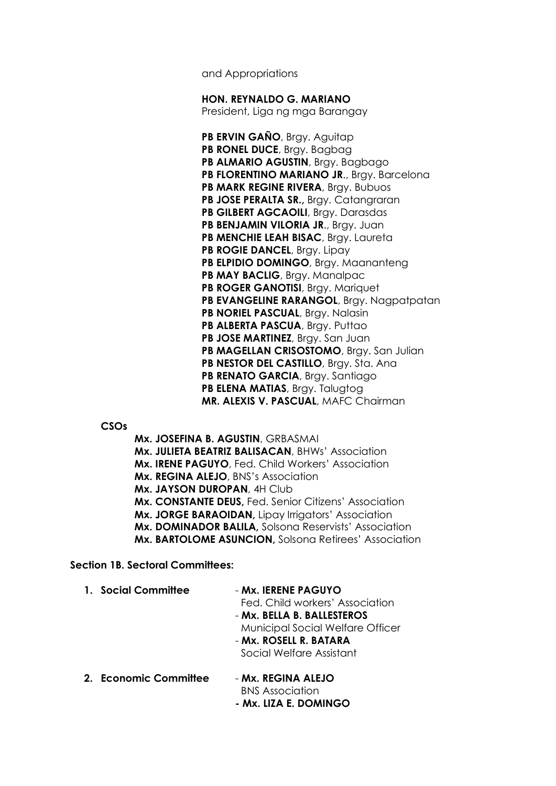and Appropriations

HON. REYNALDO G. MARIANO

President, Liga ng mga Barangay

PB ERVIN GAÑO, Brgy. Aguitap PB RONEL DUCE, Brgy. Bagbag PB ALMARIO AGUSTIN, Brgy. Bagbago PB FLORENTINO MARIANO JR., Brgy. Barcelona PB MARK REGINE RIVERA, Brgy. Bubuos PB JOSE PERALTA SR., Brgy. Catangraran PB GILBERT AGCAOILI, Brgy. Darasdas PB BENJAMIN VILORIA JR., Brgy. Juan PB MENCHIE LEAH BISAC, Brgy. Laureta PB ROGIE DANCEL, Brgy. Lipay PB ELPIDIO DOMINGO, Brgy. Maananteng PB MAY BACLIG, Brgy. Manalpac PB ROGER GANOTISI, Brgy. Mariquet PB EVANGELINE RARANGOL, Brgy. Nagpatpatan PB NORIEL PASCUAL, Bray. Nalasin PB ALBERTA PASCUA, Brgy. Puttao PB JOSE MARTINEZ, Brgy. San Juan PB MAGELLAN CRISOSTOMO, Brgy. San Julian PB NESTOR DEL CASTILLO, Bray. Sta. Ana PB RENATO GARCIA, Brgy. Santiago PB ELENA MATIAS, Brgy. Talugtog MR. ALEXIS V. PASCUAL, MAFC Chairman

CSOs

Mx. JOSEFINA B. AGUSTIN, GRBASMAI Mx. JULIETA BEATRIZ BALISACAN, BHWs' Association Mx. IRENE PAGUYO, Fed. Child Workers' Association Mx. REGINA ALEJO, BNS's Association Mx. JAYSON DUROPAN, 4H Club Mx. CONSTANTE DEUS, Fed. Senior Citizens' Association Mx. JORGE BARAOIDAN, Lipay Irrigators' Association Mx. DOMINADOR BALILA, Solsona Reservists' Association Mx. BARTOLOME ASUNCION, Solsona Retirees' Association

Section 1B. Sectoral Committees:

| 1. Social Committee   | - Mx. IERENE PAGUYO<br>Fed. Child workers' Association<br>- Mx. BELLA B. BALLESTEROS<br><b>Municipal Social Welfare Officer</b><br>- Mx. ROSELL R. BATARA<br>Social Welfare Assistant |  |
|-----------------------|---------------------------------------------------------------------------------------------------------------------------------------------------------------------------------------|--|
| 2. Economic Committee | - Mx. REGINA ALEJO<br><b>BNS</b> Association<br>- Mx. LIZA E. DOMINGO                                                                                                                 |  |